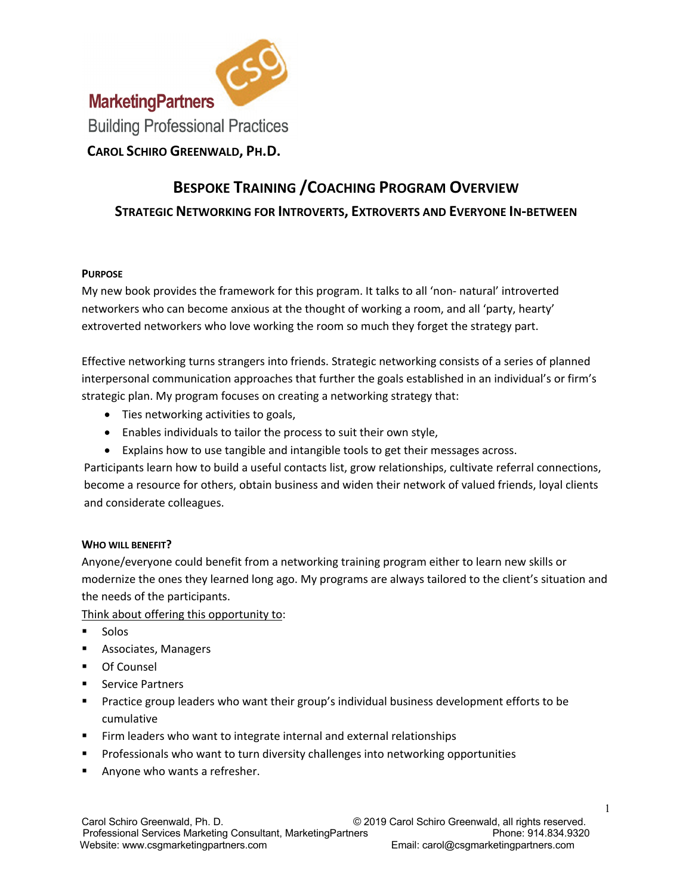

# **BESPOKE TRAINING /COACHING PROGRAM OVERVIEW STRATEGIC NETWORKING FOR INTROVERTS, EXTROVERTS AND EVERYONE IN-BETWEEN**

## **PURPOSE**

My new book provides the framework for this program. It talks to all 'non- natural' introverted networkers who can become anxious at the thought of working a room, and all 'party, hearty' extroverted networkers who love working the room so much they forget the strategy part.

Effective networking turns strangers into friends. Strategic networking consists of a series of planned interpersonal communication approaches that further the goals established in an individual's or firm's strategic plan. My program focuses on creating a networking strategy that:

- Ties networking activities to goals,
- Enables individuals to tailor the process to suit their own style,
- Explains how to use tangible and intangible tools to get their messages across.

Participants learn how to build a useful contacts list, grow relationships, cultivate referral connections, become a resource for others, obtain business and widen their network of valued friends, loyal clients and considerate colleagues.

# **WHO WILL BENEFIT?**

Anyone/everyone could benefit from a networking training program either to learn new skills or modernize the ones they learned long ago. My programs are always tailored to the client's situation and the needs of the participants.

Think about offering this opportunity to:

- § Solos
- § Associates, Managers
- Of Counsel
- § Service Partners
- § Practice group leaders who want their group's individual business development efforts to be cumulative
- Firm leaders who want to integrate internal and external relationships
- § Professionals who want to turn diversity challenges into networking opportunities
- Anyone who wants a refresher.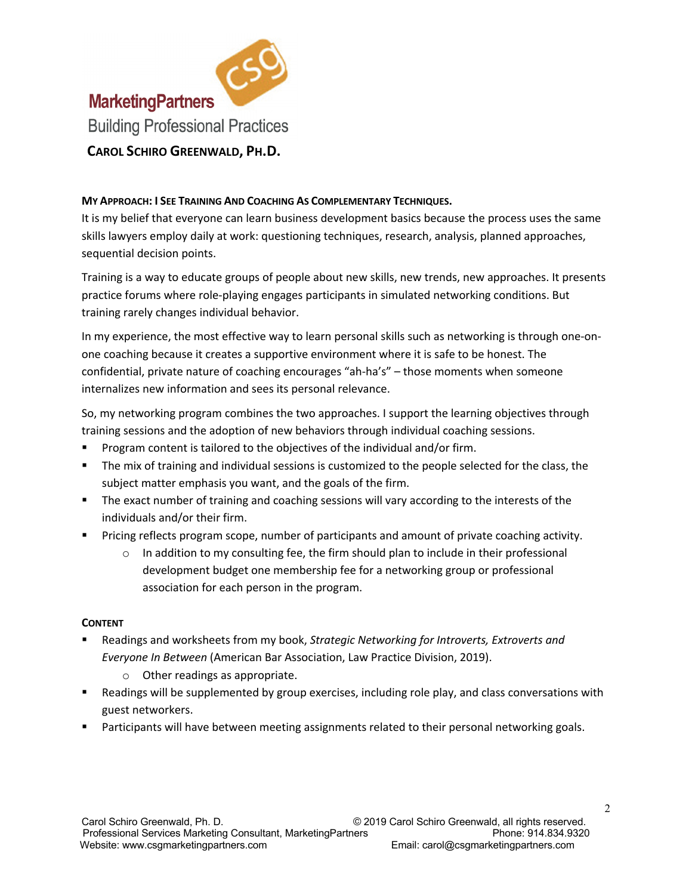

## **MY APPROACH: I SEE TRAINING AND COACHING AS COMPLEMENTARY TECHNIQUES.**

It is my belief that everyone can learn business development basics because the process uses the same skills lawyers employ daily at work: questioning techniques, research, analysis, planned approaches, sequential decision points.

Training is a way to educate groups of people about new skills, new trends, new approaches. It presents practice forums where role-playing engages participants in simulated networking conditions. But training rarely changes individual behavior.

In my experience, the most effective way to learn personal skills such as networking is through one-onone coaching because it creates a supportive environment where it is safe to be honest. The confidential, private nature of coaching encourages "ah-ha's" – those moments when someone internalizes new information and sees its personal relevance.

So, my networking program combines the two approaches. I support the learning objectives through training sessions and the adoption of new behaviors through individual coaching sessions.

- Program content is tailored to the objectives of the individual and/or firm.
- **•** The mix of training and individual sessions is customized to the people selected for the class, the subject matter emphasis you want, and the goals of the firm.
- **•** The exact number of training and coaching sessions will vary according to the interests of the individuals and/or their firm.
- Pricing reflects program scope, number of participants and amount of private coaching activity.
	- o In addition to my consulting fee, the firm should plan to include in their professional development budget one membership fee for a networking group or professional association for each person in the program.

#### **CONTENT**

- § Readings and worksheets from my book, *Strategic Networking for Introverts, Extroverts and Everyone In Between* (American Bar Association, Law Practice Division, 2019).
	- o Other readings as appropriate.
- Readings will be supplemented by group exercises, including role play, and class conversations with guest networkers.
- **•** Participants will have between meeting assignments related to their personal networking goals.